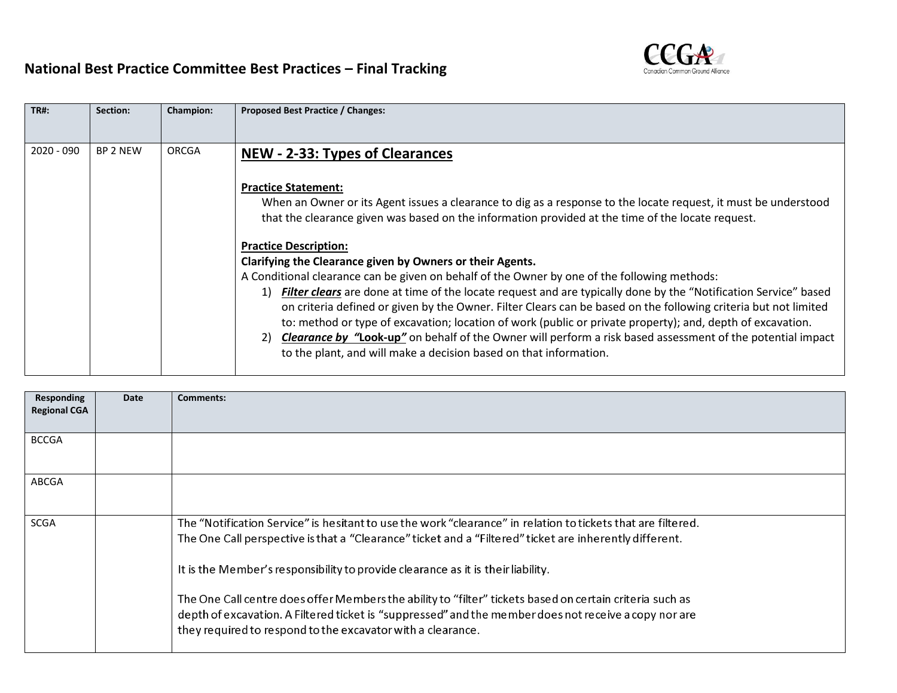## **National Best Practice Committee Best Practices – Final Tracking**



| <b>TR#:</b>  | Section:        | <b>Champion:</b> | Proposed Best Practice / Changes:                                                                                                                                                                                                                                                                                                                                                                                                                                                                                                                                                                                                                                                                                                                   |
|--------------|-----------------|------------------|-----------------------------------------------------------------------------------------------------------------------------------------------------------------------------------------------------------------------------------------------------------------------------------------------------------------------------------------------------------------------------------------------------------------------------------------------------------------------------------------------------------------------------------------------------------------------------------------------------------------------------------------------------------------------------------------------------------------------------------------------------|
| $2020 - 090$ | <b>BP 2 NEW</b> | ORCGA            | NEW - 2-33: Types of Clearances                                                                                                                                                                                                                                                                                                                                                                                                                                                                                                                                                                                                                                                                                                                     |
|              |                 |                  | <b>Practice Statement:</b><br>When an Owner or its Agent issues a clearance to dig as a response to the locate request, it must be understood<br>that the clearance given was based on the information provided at the time of the locate request.                                                                                                                                                                                                                                                                                                                                                                                                                                                                                                  |
|              |                 |                  | <b>Practice Description:</b><br>Clarifying the Clearance given by Owners or their Agents.<br>A Conditional clearance can be given on behalf of the Owner by one of the following methods:<br>Filter clears are done at time of the locate request and are typically done by the "Notification Service" based<br>1)<br>on criteria defined or given by the Owner. Filter Clears can be based on the following criteria but not limited<br>to: method or type of excavation; location of work (public or private property); and, depth of excavation.<br><b>Clearance by "Look-up"</b> on behalf of the Owner will perform a risk based assessment of the potential impact<br>2)<br>to the plant, and will make a decision based on that information. |

| <b>Responding</b><br><b>Regional CGA</b> | <b>Date</b> | <b>Comments:</b>                                                                                                                                                                                                                                                                                            |
|------------------------------------------|-------------|-------------------------------------------------------------------------------------------------------------------------------------------------------------------------------------------------------------------------------------------------------------------------------------------------------------|
| <b>BCCGA</b>                             |             |                                                                                                                                                                                                                                                                                                             |
| <b>ABCGA</b>                             |             |                                                                                                                                                                                                                                                                                                             |
| <b>SCGA</b>                              |             | The "Notification Service" is hesitant to use the work "clearance" in relation to tickets that are filtered.<br>The One Call perspective is that a "Clearance" ticket and a "Filtered" ticket are inherently different.<br>It is the Member's responsibility to provide clearance as it is their liability. |
|                                          |             | The One Call centre does offer Members the ability to "filter" tickets based on certain criteria such as<br>depth of excavation. A Filtered ticket is "suppressed" and the member does not receive a copy nor are<br>they required to respond to the excavator with a clearance.                            |